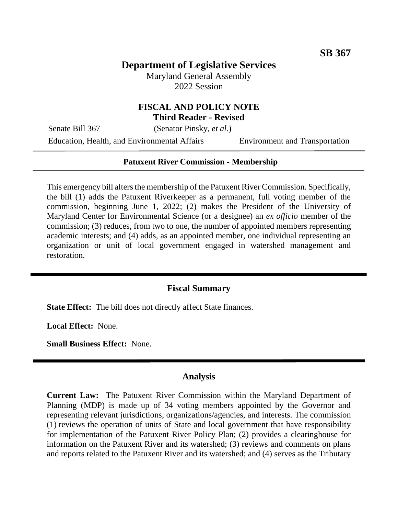## **Department of Legislative Services**

Maryland General Assembly 2022 Session

### **FISCAL AND POLICY NOTE Third Reader - Revised**

Senate Bill 367 (Senator Pinsky, *et al.*)

Education, Health, and Environmental Affairs Environment and Transportation

#### **Patuxent River Commission - Membership**

This emergency bill alters the membership of the Patuxent River Commission. Specifically, the bill (1) adds the Patuxent Riverkeeper as a permanent, full voting member of the commission, beginning June 1, 2022; (2) makes the President of the University of Maryland Center for Environmental Science (or a designee) an *ex officio* member of the commission; (3) reduces, from two to one, the number of appointed members representing academic interests; and (4) adds, as an appointed member, one individual representing an organization or unit of local government engaged in watershed management and restoration.

#### **Fiscal Summary**

**State Effect:** The bill does not directly affect State finances.

**Local Effect:** None.

**Small Business Effect:** None.

#### **Analysis**

**Current Law:** The Patuxent River Commission within the Maryland Department of Planning (MDP) is made up of 34 voting members appointed by the Governor and representing relevant jurisdictions, organizations/agencies, and interests. The commission (1) reviews the operation of units of State and local government that have responsibility for implementation of the Patuxent River Policy Plan; (2) provides a clearinghouse for information on the Patuxent River and its watershed; (3) reviews and comments on plans and reports related to the Patuxent River and its watershed; and (4) serves as the Tributary